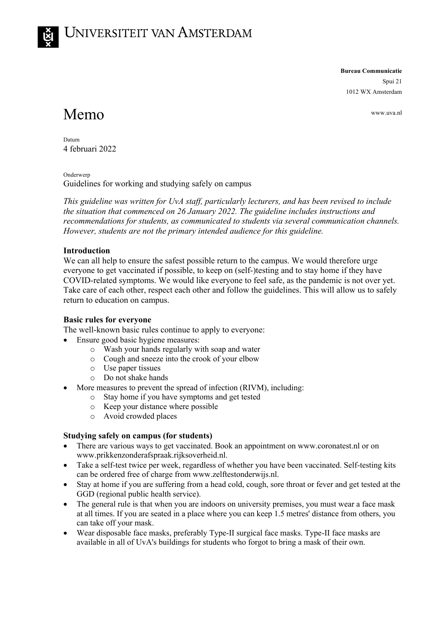**Bureau Communicatie**

Spui 21 1012 WX Amsterdam

# Memo www.uva.nl

Datum 4 februari 2022

Onderwerp Guidelines for working and studying safely on campus

*This guideline was written for UvA staff, particularly lecturers, and has been revised to include the situation that commenced on 26 January 2022. The guideline includes instructions and recommendations for students, as communicated to students via several communication channels. However, students are not the primary intended audience for this guideline.*

## **Introduction**

We can all help to ensure the safest possible return to the campus. We would therefore urge everyone to get vaccinated if possible, to keep on (self-)testing and to stay home if they have COVID-related symptoms. We would like everyone to feel safe, as the pandemic is not over yet. Take care of each other, respect each other and follow the guidelines. This will allow us to safely return to education on campus.

### **Basic rules for everyone**

The well-known basic rules continue to apply to everyone:

- Ensure good basic hygiene measures:
	- o Wash your hands regularly with soap and water
	- o Cough and sneeze into the crook of your elbow
	- o Use paper tissues
	- o Do not shake hands
- More measures to prevent the spread of infection (RIVM), including:
	- o Stay home if you have symptoms and get tested
	- o Keep your distance where possible
	- o Avoid crowded places

### **Studying safely on campus (for students)**

- There are various ways to get vaccinated. Book an appointment on www.coronatest.nl or on www.prikkenzonderafspraak.rijksoverheid.nl.
- Take a self-test twice per week, regardless of whether you have been vaccinated. Self-testing kits can be ordered free of charge from www.zelftestonderwijs.nl.
- Stay at home if you are suffering from a head cold, cough, sore throat or fever and get tested at the GGD (regional public health service).
- The general rule is that when you are indoors on university premises, you must wear a face mask at all times. If you are seated in a place where you can keep 1.5 metres' distance from others, you can take off your mask.
- Wear disposable face masks, preferably Type-II surgical face masks. Type-II face masks are available in all of UvA's buildings for students who forgot to bring a mask of their own.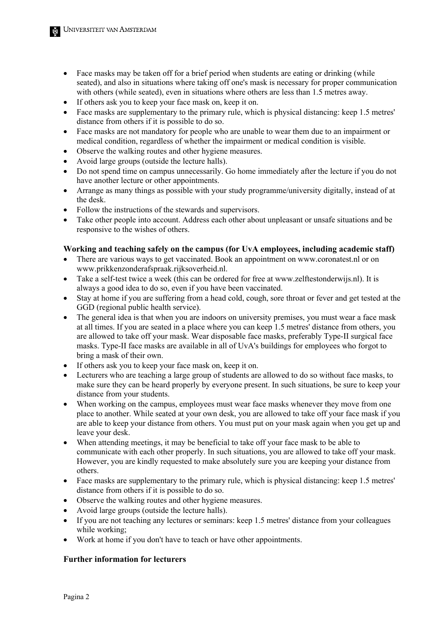- Face masks may be taken off for a brief period when students are eating or drinking (while seated), and also in situations where taking off one's mask is necessary for proper communication with others (while seated), even in situations where others are less than 1.5 metres away.
- If others ask you to keep your face mask on, keep it on.
- Face masks are supplementary to the primary rule, which is physical distancing: keep 1.5 metres' distance from others if it is possible to do so.
- Face masks are not mandatory for people who are unable to wear them due to an impairment or medical condition, regardless of whether the impairment or medical condition is visible.
- Observe the walking routes and other hygiene measures.
- Avoid large groups (outside the lecture halls).
- Do not spend time on campus unnecessarily. Go home immediately after the lecture if you do not have another lecture or other appointments.
- Arrange as many things as possible with your study programme/university digitally, instead of at the desk.
- Follow the instructions of the stewards and supervisors.
- Take other people into account. Address each other about unpleasant or unsafe situations and be responsive to the wishes of others.

#### **Working and teaching safely on the campus (for UvA employees, including academic staff)**

- There are various ways to get vaccinated. Book an appointment on www.coronatest.nl or on www.prikkenzonderafspraak.rijksoverheid.nl.
- Take a self-test twice a week (this can be ordered for free at www.zelftestonderwijs.nl). It is always a good idea to do so, even if you have been vaccinated.
- Stay at home if you are suffering from a head cold, cough, sore throat or fever and get tested at the GGD (regional public health service).
- The general idea is that when you are indoors on university premises, you must wear a face mask at all times. If you are seated in a place where you can keep 1.5 metres' distance from others, you are allowed to take off your mask. Wear disposable face masks, preferably Type-II surgical face masks. Type-II face masks are available in all of UvA's buildings for employees who forgot to bring a mask of their own.
- If others ask you to keep your face mask on, keep it on.
- Lecturers who are teaching a large group of students are allowed to do so without face masks, to make sure they can be heard properly by everyone present. In such situations, be sure to keep your distance from your students.
- When working on the campus, employees must wear face masks whenever they move from one place to another. While seated at your own desk, you are allowed to take off your face mask if you are able to keep your distance from others. You must put on your mask again when you get up and leave your desk.
- When attending meetings, it may be beneficial to take off your face mask to be able to communicate with each other properly. In such situations, you are allowed to take off your mask. However, you are kindly requested to make absolutely sure you are keeping your distance from others.
- Face masks are supplementary to the primary rule, which is physical distancing: keep 1.5 metres' distance from others if it is possible to do so.
- Observe the walking routes and other hygiene measures.
- Avoid large groups (outside the lecture halls).
- If you are not teaching any lectures or seminars: keep 1.5 metres' distance from your colleagues while working;
- Work at home if you don't have to teach or have other appointments.

#### **Further information for lecturers**